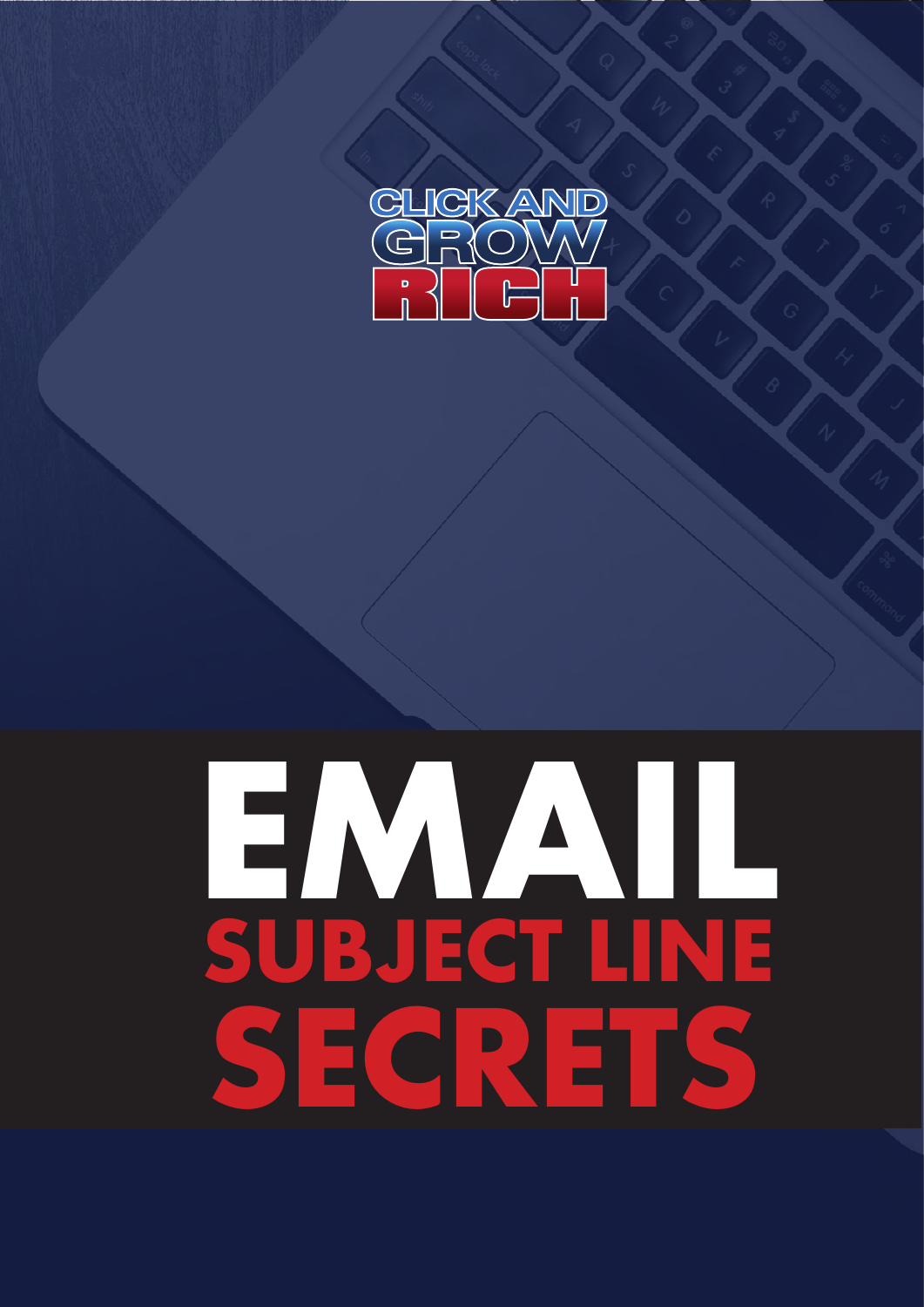

# **EMAIL SUBJECT LINE SECRETS**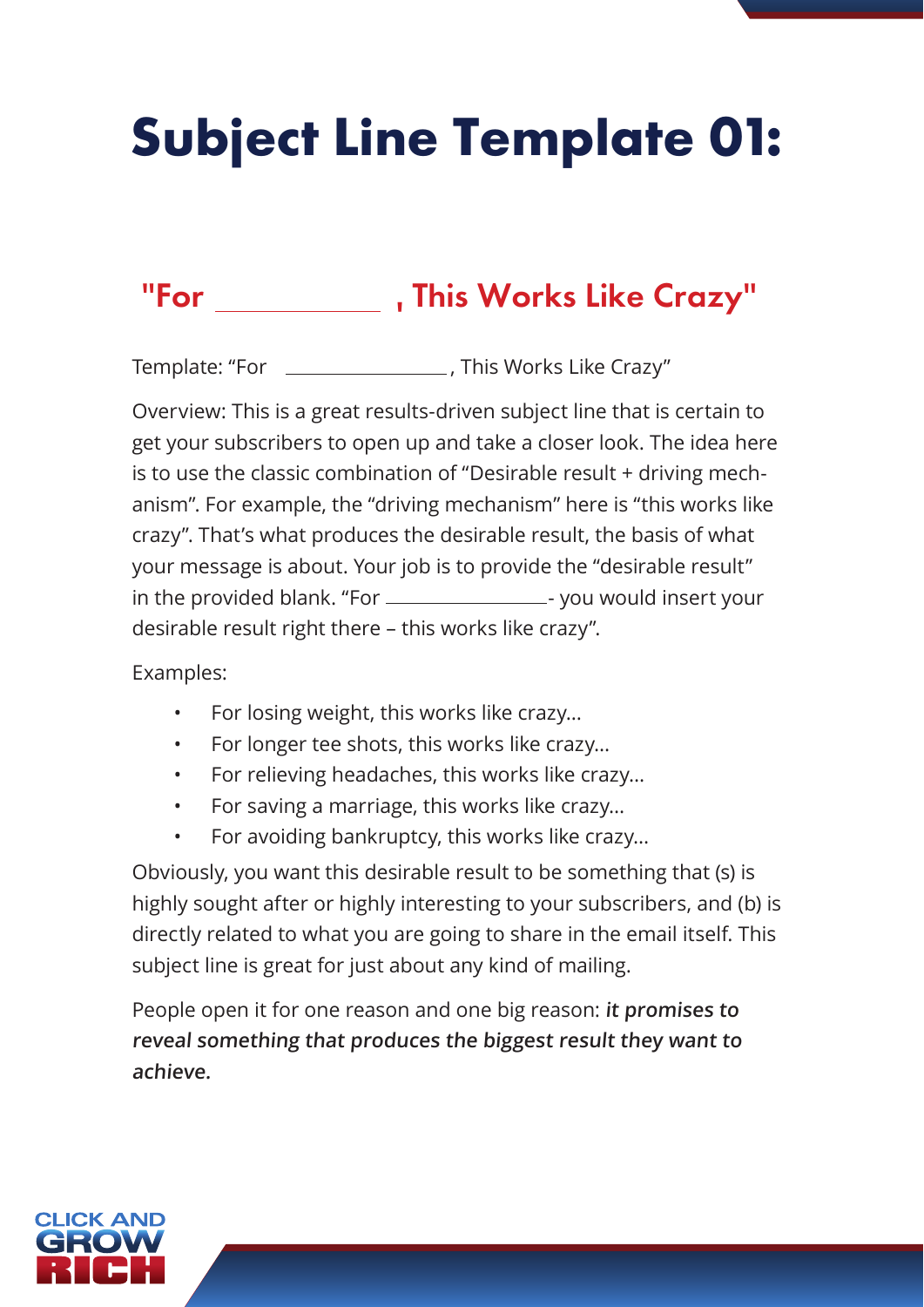# **Subject Line Template 01:**

### "For , This Works Like Crazy"

Template: "For \_\_\_\_\_\_\_\_\_\_\_\_\_\_\_\_\_\_\_, This Works Like Crazy"

Overview: This is a great results-driven subject line that is certain to get your subscribers to open up and take a closer look. The idea here is to use the classic combination of "Desirable result + driving mechanism". For example, the "driving mechanism" here is "this works like crazy". That's what produces the desirable result, the basis of what your message is about. Your job is to provide the "desirable result" in the provided blank. "For \_\_\_\_\_\_\_\_\_\_\_\_\_\_\_\_\_\_\_\_- you would insert your desirable result right there – this works like crazy".

Examples:

- For losing weight, this works like crazy…
- For longer tee shots, this works like crazy…
- For relieving headaches, this works like crazy…
- For saving a marriage, this works like crazy…
- For avoiding bankruptcy, this works like crazy…

Obviously, you want this desirable result to be something that (s) is highly sought after or highly interesting to your subscribers, and (b) is directly related to what you are going to share in the email itself. This subject line is great for just about any kind of mailing.

People open it for one reason and one big reason: **it promises to reveal something that produces the biggest result they want to achieve.**

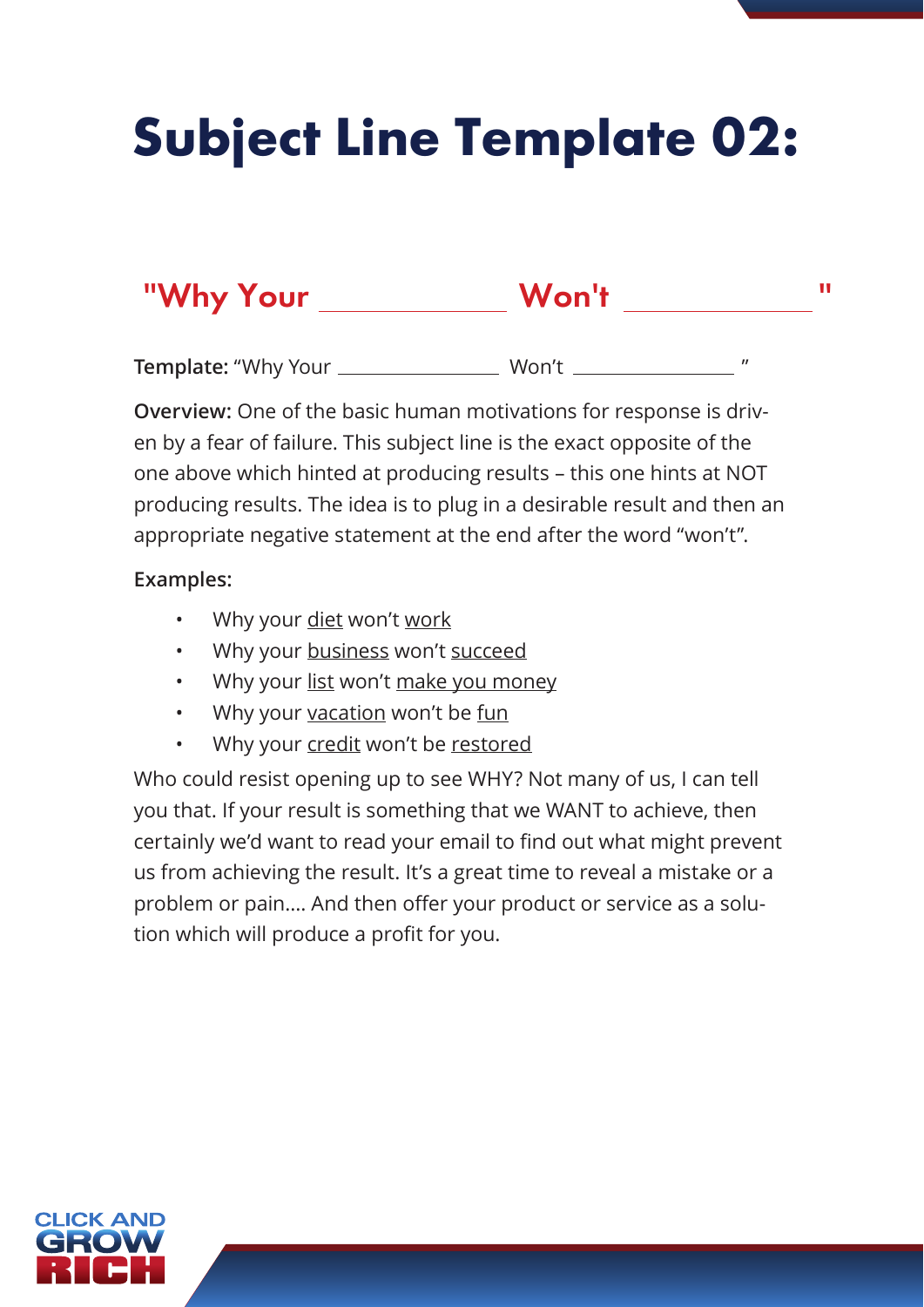# **Subject Line Template 02:**

### "Why Your Won't "

**Template:** "Why Your Won't "

**Overview:** One of the basic human motivations for response is driven by a fear of failure. This subject line is the exact opposite of the one above which hinted at producing results – this one hints at NOT producing results. The idea is to plug in a desirable result and then an appropriate negative statement at the end after the word "won't".

#### **Examples:**

- Why your diet won't work
- Why your business won't succeed
- Why your list won't make you money
- Why your vacation won't be fun
- Why your credit won't be restored

Who could resist opening up to see WHY? Not many of us, I can tell you that. If your result is something that we WANT to achieve, then certainly we'd want to read your email to find out what might prevent us from achieving the result. It's a great time to reveal a mistake or a problem or pain…. And then offer your product or service as a solution which will produce a profit for you.

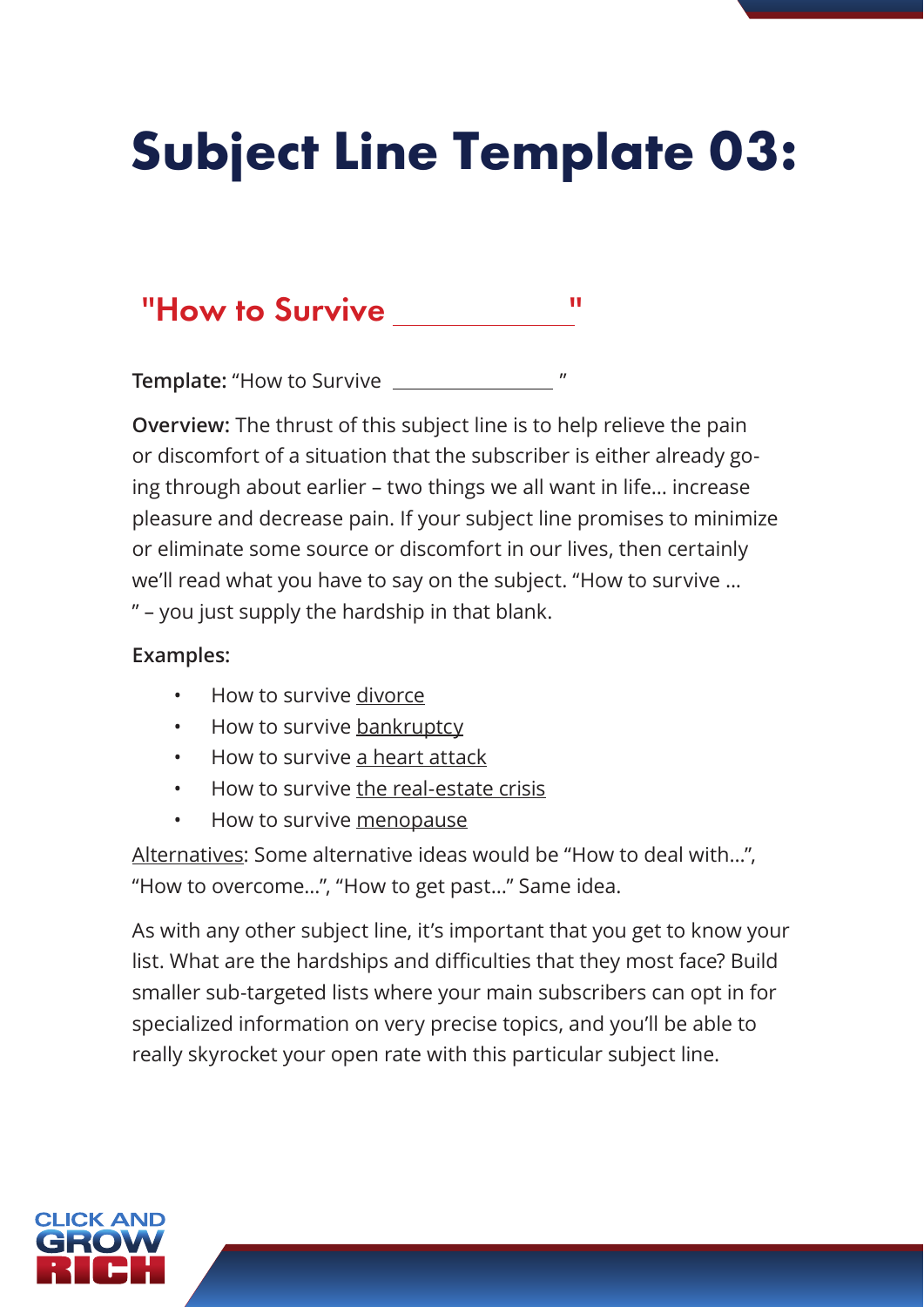# **Subject Line Template 03:**

### "How to Survive "

**Template:** "How to Survive "

**Overview:** The thrust of this subject line is to help relieve the pain or discomfort of a situation that the subscriber is either already going through about earlier – two things we all want in life… increase pleasure and decrease pain. If your subject line promises to minimize or eliminate some source or discomfort in our lives, then certainly we'll read what you have to say on the subject. "How to survive ... " – you just supply the hardship in that blank.

#### **Examples:**

- How to survive divorce
- How to survive bankruptcy
- How to survive a heart attack
- How to survive the real-estate crisis
- How to survive menopause

Alternatives: Some alternative ideas would be "How to deal with…", "How to overcome…", "How to get past…" Same idea.

As with any other subject line, it's important that you get to know your list. What are the hardships and difficulties that they most face? Build smaller sub-targeted lists where your main subscribers can opt in for specialized information on very precise topics, and you'll be able to really skyrocket your open rate with this particular subject line.

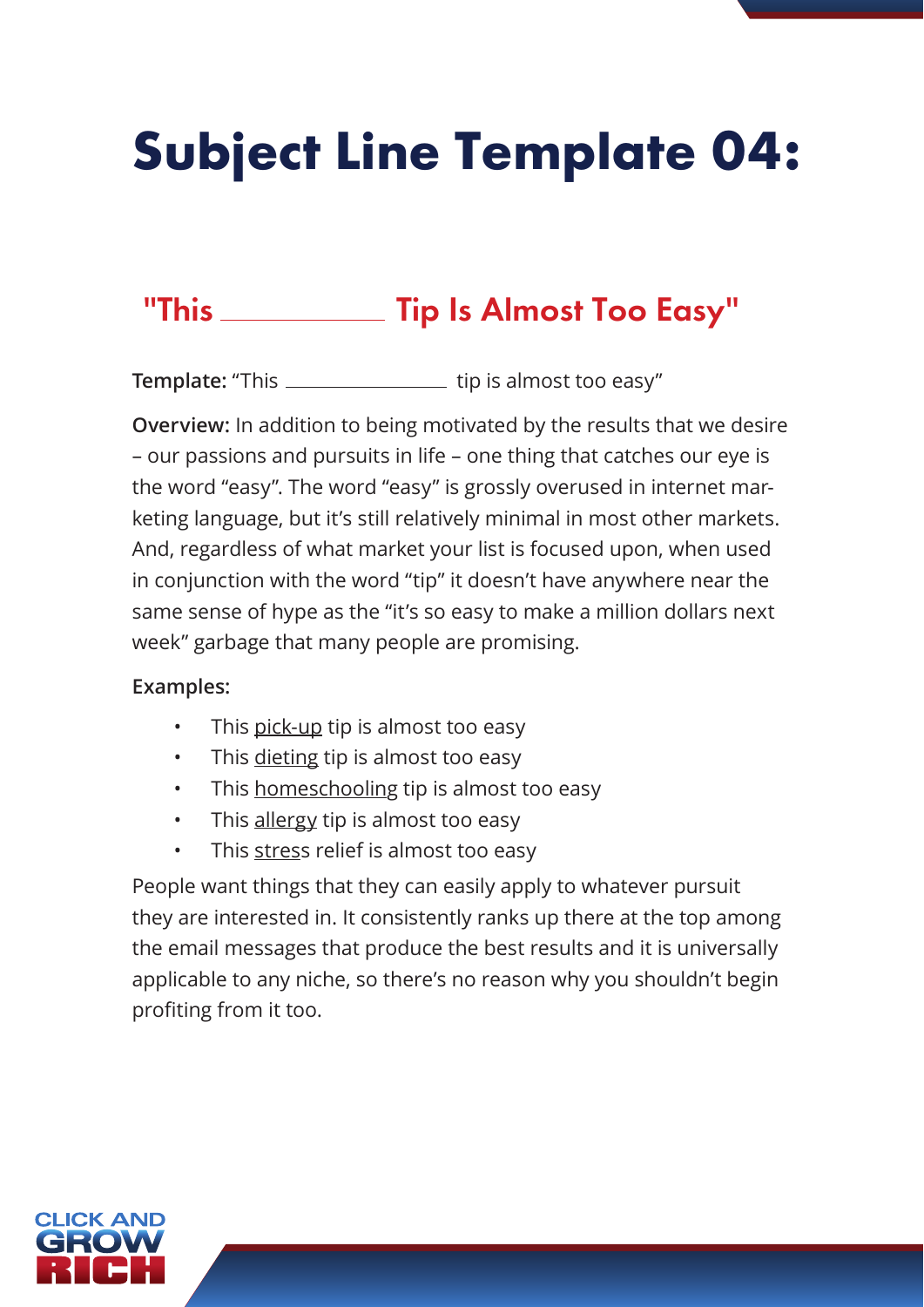# **Subject Line Template 04:**

### "This \_\_\_\_\_\_\_\_\_\_\_ Tip Is Almost Too Easy"

**Template:** "This \_\_\_\_\_\_\_\_\_\_\_\_\_\_\_\_\_\_\_ tip is almost too easy"

**Overview:** In addition to being motivated by the results that we desire – our passions and pursuits in life – one thing that catches our eye is the word "easy". The word "easy" is grossly overused in internet marketing language, but it's still relatively minimal in most other markets. And, regardless of what market your list is focused upon, when used in conjunction with the word "tip" it doesn't have anywhere near the same sense of hype as the "it's so easy to make a million dollars next week" garbage that many people are promising.

#### **Examples:**

- This pick-up tip is almost too easy
- This dieting tip is almost too easy
- This homeschooling tip is almost too easy
- This allergy tip is almost too easy
- This stress relief is almost too easy

People want things that they can easily apply to whatever pursuit they are interested in. It consistently ranks up there at the top among the email messages that produce the best results and it is universally applicable to any niche, so there's no reason why you shouldn't begin profiting from it too.

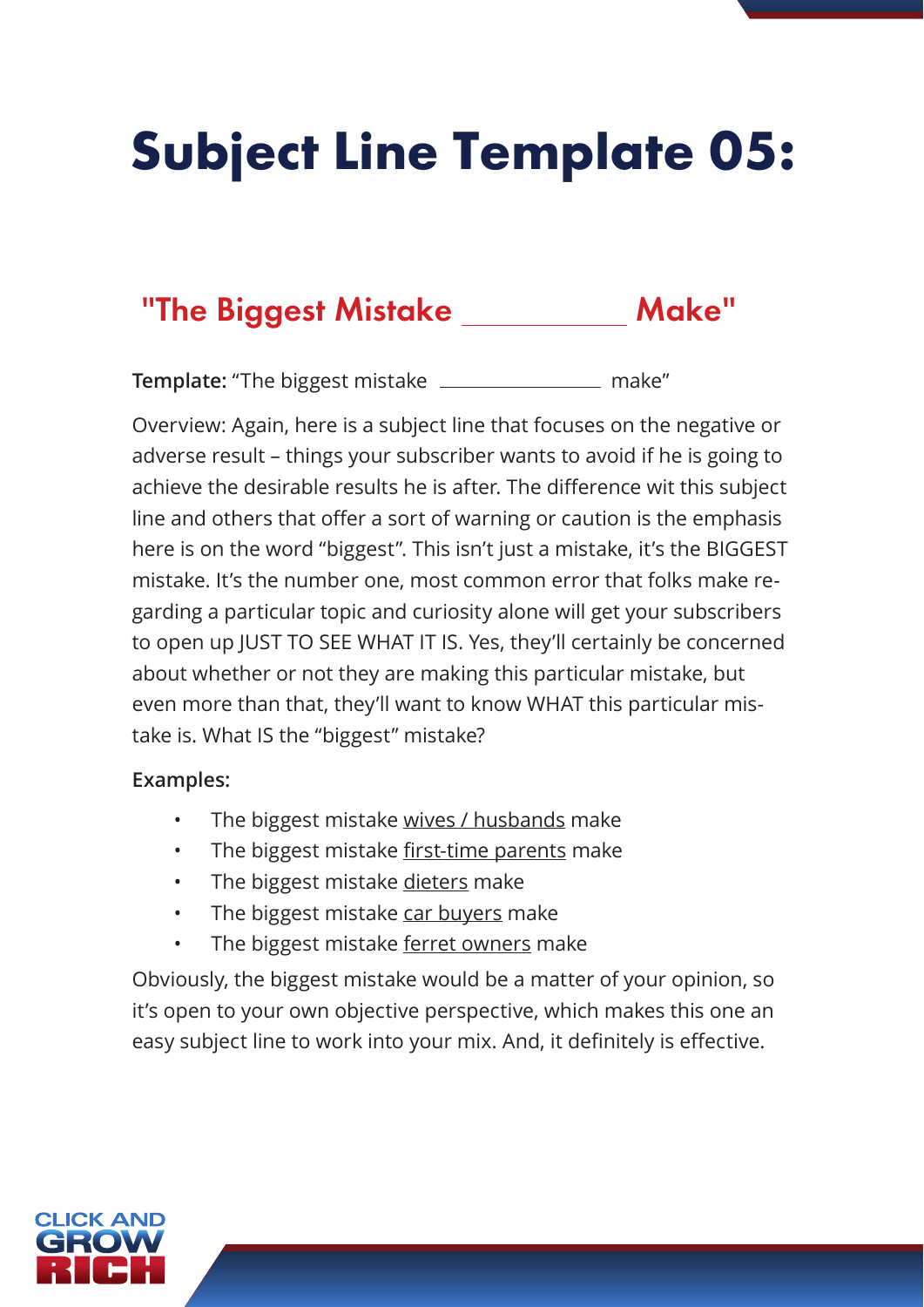# **Subject Line Template 05:**

### "The Biggest Mistake Make"

**Template:** "The biggest mistake \_\_\_\_\_\_\_\_\_\_\_\_\_\_\_\_ make"

Overview: Again, here is a subject line that focuses on the negative or adverse result – things your subscriber wants to avoid if he is going to achieve the desirable results he is after. The difference wit this subject line and others that offer a sort of warning or caution is the emphasis here is on the word "biggest". This isn't just a mistake, it's the BIGGEST mistake. It's the number one, most common error that folks make regarding a particular topic and curiosity alone will get your subscribers to open up JUST TO SEE WHAT IT IS. Yes, they'll certainly be concerned about whether or not they are making this particular mistake, but even more than that, they'll want to know WHAT this particular mistake is. What IS the "biggest" mistake?

#### **Examples:**

- The biggest mistake wives / husbands make
- The biggest mistake first-time parents make
- The biggest mistake dieters make
- The biggest mistake car buyers make
- The biggest mistake ferret owners make

Obviously, the biggest mistake would be a matter of your opinion, so it's open to your own objective perspective, which makes this one an easy subject line to work into your mix. And, it definitely is effective.

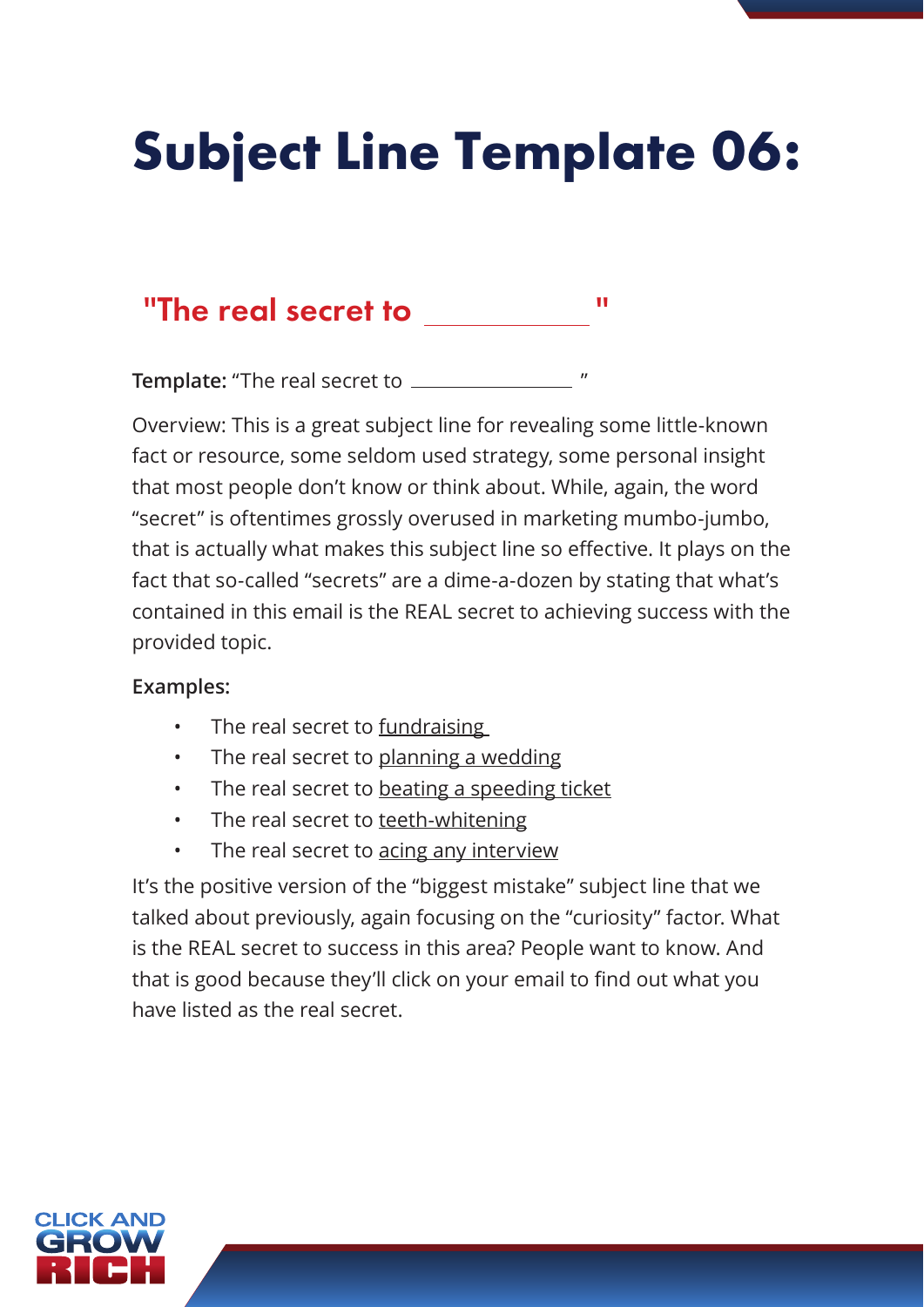### **Subject Line Template 06:**

### "The real secret to "

**Template:** "The real secret to  $\frac{1}{1}$ 

Overview: This is a great subject line for revealing some little-known fact or resource, some seldom used strategy, some personal insight that most people don't know or think about. While, again, the word "secret" is oftentimes grossly overused in marketing mumbo-jumbo, that is actually what makes this subject line so effective. It plays on the fact that so-called "secrets" are a dime-a-dozen by stating that what's contained in this email is the REAL secret to achieving success with the provided topic.

#### **Examples:**

- The real secret to fundraising
- The real secret to planning a wedding
- The real secret to beating a speeding ticket
- The real secret to teeth-whitening
- The real secret to acing any interview

It's the positive version of the "biggest mistake" subject line that we talked about previously, again focusing on the "curiosity" factor. What is the REAL secret to success in this area? People want to know. And that is good because they'll click on your email to find out what you have listed as the real secret.

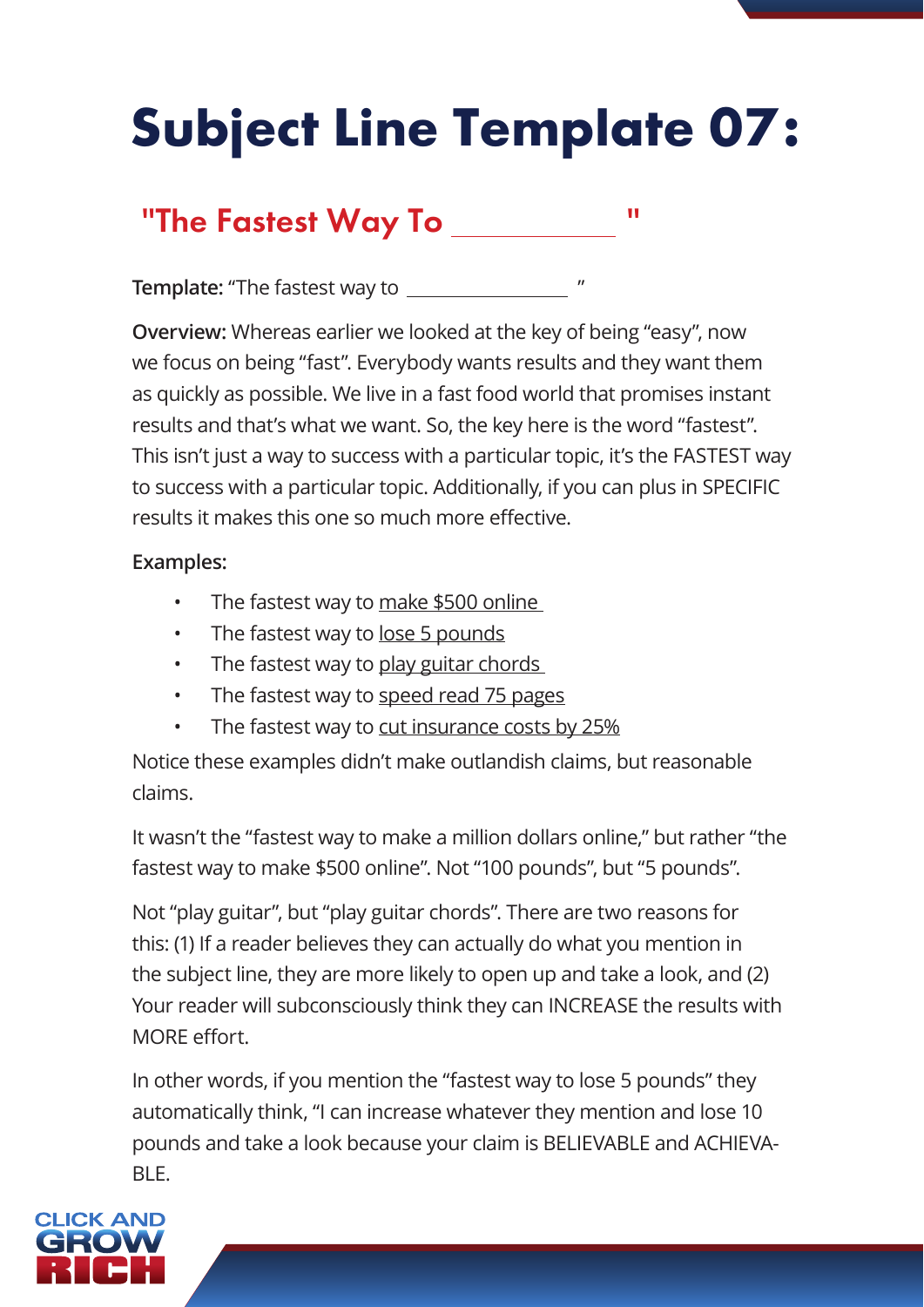# **Subject Line Template 07:**

### "The Fastest Way To **"We have Resp**"

**Template:** "The fastest way to "

**Overview:** Whereas earlier we looked at the key of being "easy", now we focus on being "fast". Everybody wants results and they want them as quickly as possible. We live in a fast food world that promises instant results and that's what we want. So, the key here is the word "fastest". This isn't just a way to success with a particular topic, it's the FASTEST way to success with a particular topic. Additionally, if you can plus in SPECIFIC results it makes this one so much more effective.

#### **Examples:**

- The fastest way to make \$500 online
- The fastest way to lose 5 pounds
- The fastest way to play guitar chords
- The fastest way to speed read 75 pages
- The fastest way to cut insurance costs by 25%

Notice these examples didn't make outlandish claims, but reasonable claims.

It wasn't the "fastest way to make a million dollars online," but rather "the fastest way to make \$500 online". Not "100 pounds", but "5 pounds".

Not "play guitar", but "play guitar chords". There are two reasons for this: (1) If a reader believes they can actually do what you mention in the subject line, they are more likely to open up and take a look, and (2) Your reader will subconsciously think they can INCREASE the results with MORE effort.

In other words, if you mention the "fastest way to lose 5 pounds" they automatically think, "I can increase whatever they mention and lose 10 pounds and take a look because your claim is BELIEVABLE and ACHIEVA-BLE.

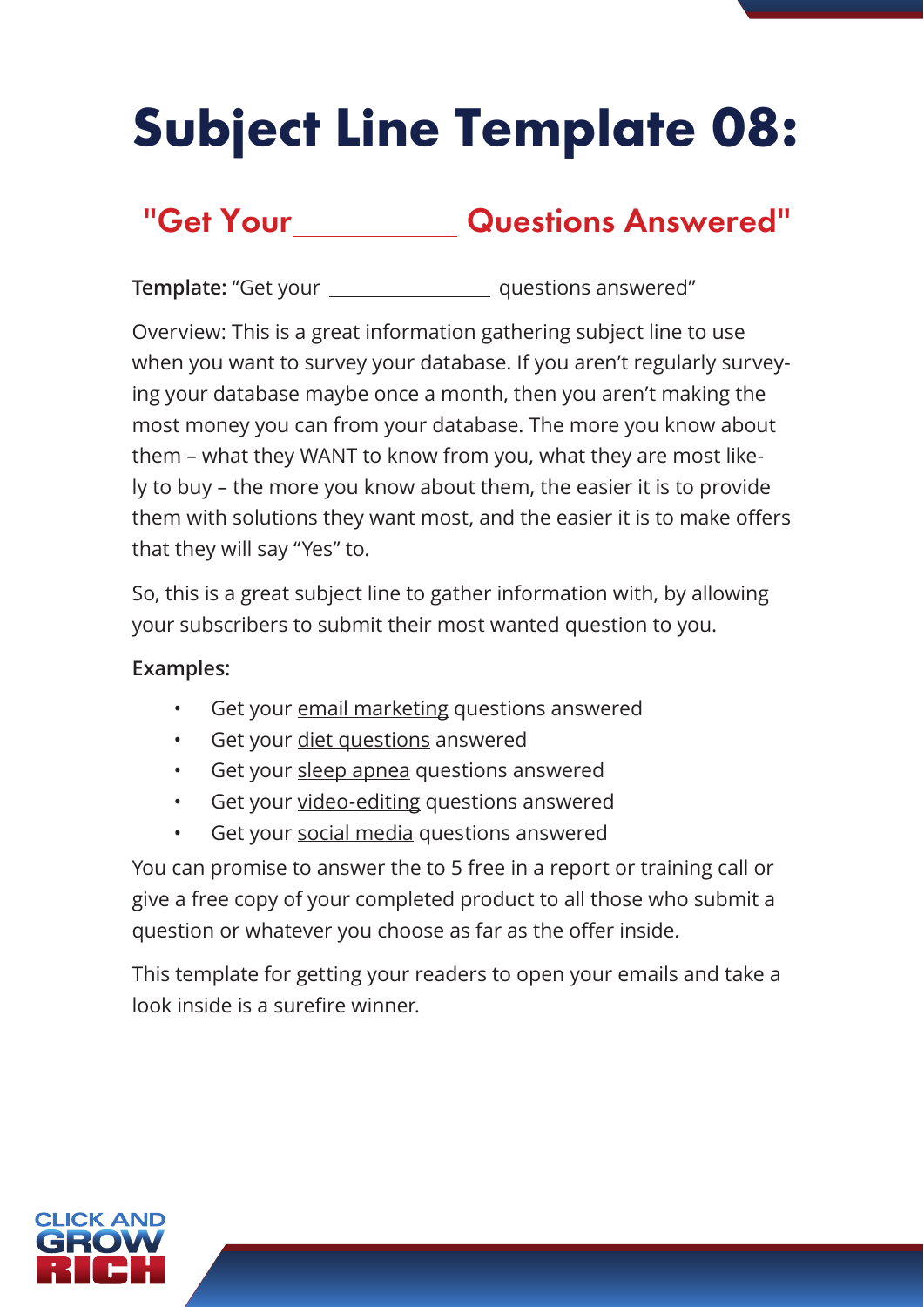# **Subject Line Template 08:**

### "Get Your Questions Answered"

**Template:** "Get your **questions answered"** 

Overview: This is a great information gathering subject line to use when you want to survey your database. If you aren't regularly surveying your database maybe once a month, then you aren't making the most money you can from your database. The more you know about them – what they WANT to know from you, what they are most likely to buy – the more you know about them, the easier it is to provide them with solutions they want most, and the easier it is to make offers that they will say "Yes" to.

So, this is a great subject line to gather information with, by allowing your subscribers to submit their most wanted question to you.

#### **Examples:**

- Get your email marketing questions answered
- Get your diet questions answered
- Get your sleep apnea questions answered
- Get your video-editing questions answered
- Get your social media questions answered

You can promise to answer the to 5 free in a report or training call or give a free copy of your completed product to all those who submit a question or whatever you choose as far as the offer inside.

This template for getting your readers to open your emails and take a look inside is a surefire winner.

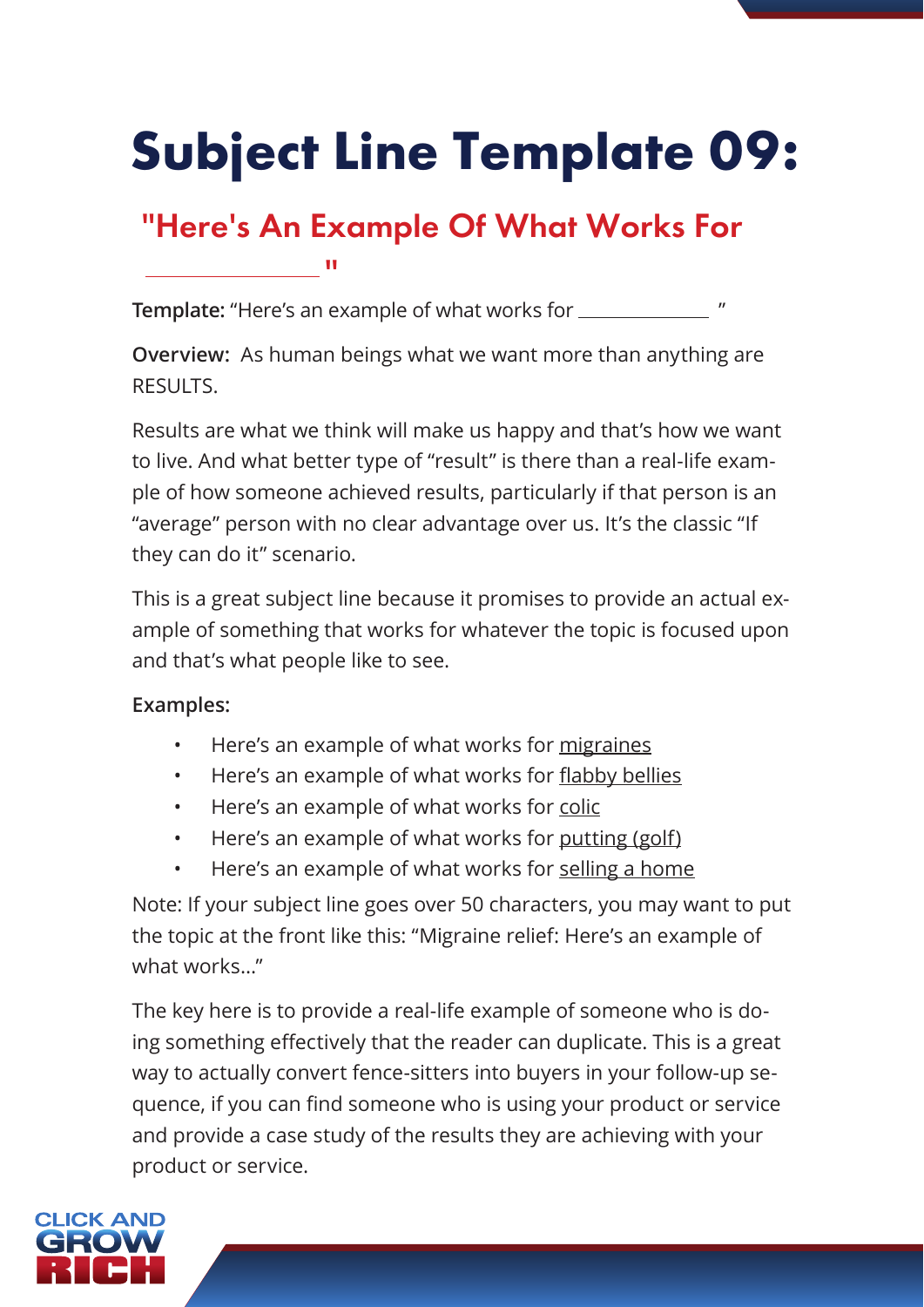# **Subject Line Template 09:**

### "Here's An Example Of What Works For

**Template:** "Here's an example of what works for  $\frac{1}{1}$  "

**Overview:** As human beings what we want more than anything are RESULTS.

Results are what we think will make us happy and that's how we want to live. And what better type of "result" is there than a real-life example of how someone achieved results, particularly if that person is an "average" person with no clear advantage over us. It's the classic "If they can do it" scenario.

This is a great subject line because it promises to provide an actual example of something that works for whatever the topic is focused upon and that's what people like to see.

#### **Examples:**

<u> — — — — "</u>

- Here's an example of what works for migraines
- Here's an example of what works for flabby bellies
- Here's an example of what works for colic
- Here's an example of what works for putting (golf)
- Here's an example of what works for selling a home

Note: If your subject line goes over 50 characters, you may want to put the topic at the front like this: "Migraine relief: Here's an example of what works…"

The key here is to provide a real-life example of someone who is doing something effectively that the reader can duplicate. This is a great way to actually convert fence-sitters into buyers in your follow-up sequence, if you can find someone who is using your product or service and provide a case study of the results they are achieving with your product or service.

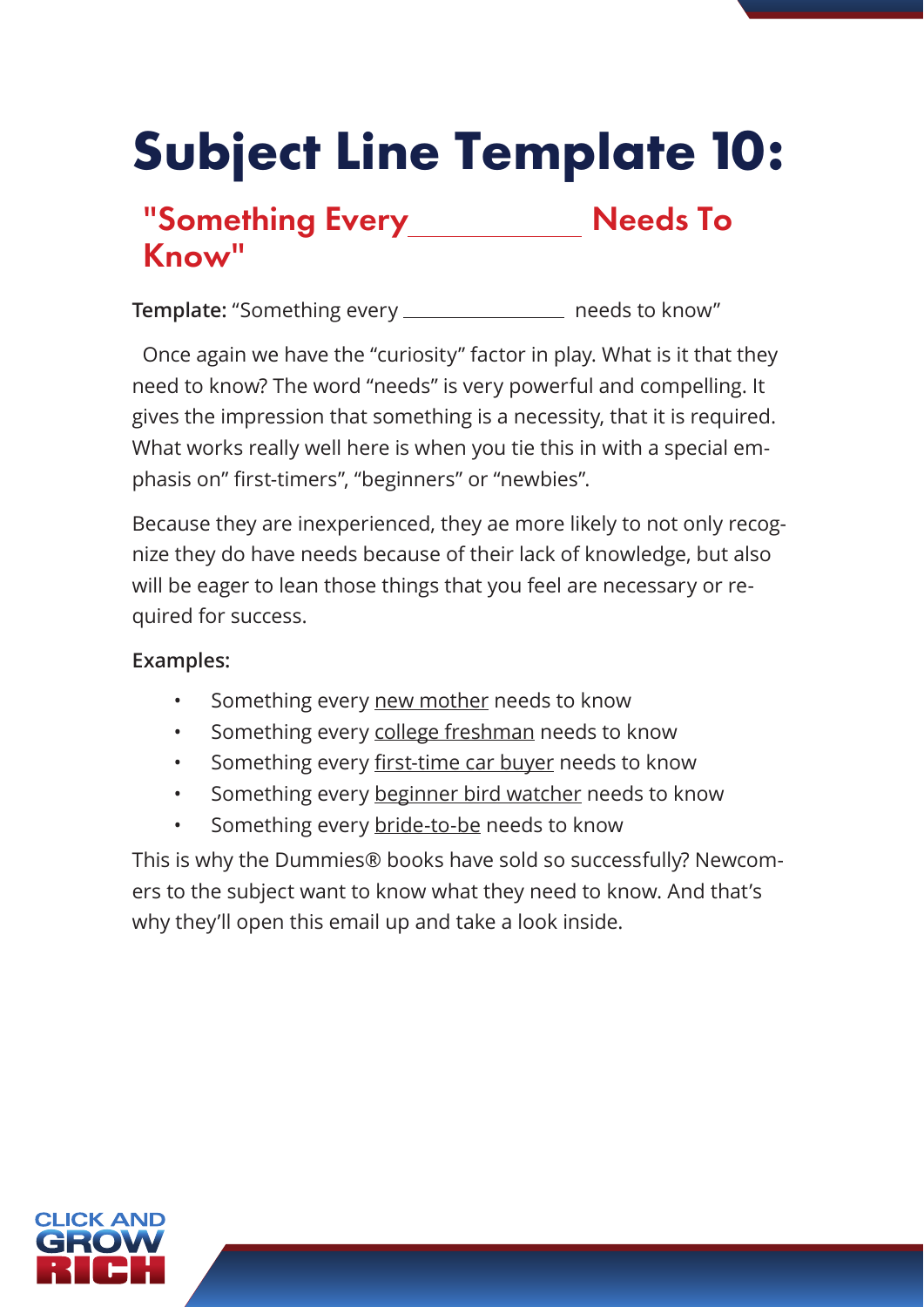# **Subject Line Template 10:**

### "Something Every Needs To Know"

Template: "Something every \_\_\_\_\_\_\_\_\_\_\_\_\_\_\_\_\_ needs to know"

 Once again we have the "curiosity" factor in play. What is it that they need to know? The word "needs" is very powerful and compelling. It gives the impression that something is a necessity, that it is required. What works really well here is when you tie this in with a special emphasis on" first-timers", "beginners" or "newbies".

Because they are inexperienced, they ae more likely to not only recognize they do have needs because of their lack of knowledge, but also will be eager to lean those things that you feel are necessary or required for success.

#### **Examples:**

- Something every new mother needs to know
- Something every college freshman needs to know
- Something every first-time car buyer needs to know
- Something every beginner bird watcher needs to know
- Something every bride-to-be needs to know

This is why the Dummies® books have sold so successfully? Newcomers to the subject want to know what they need to know. And that's why they'll open this email up and take a look inside.

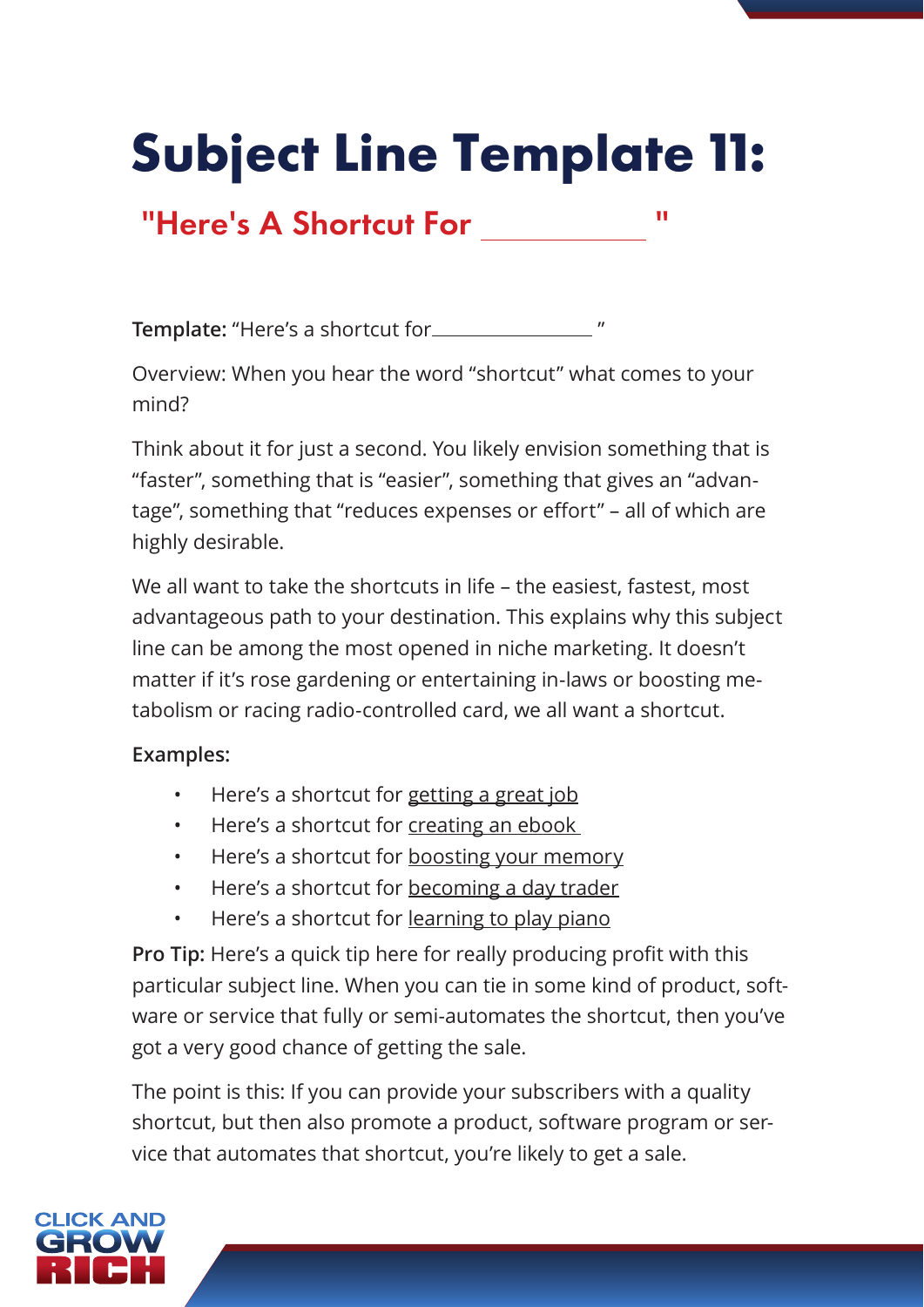# **Subject Line Template 11:**

### "Here's A Shortcut For "

**Template:** "Here's a shortcut for

Overview: When you hear the word "shortcut" what comes to your mind?

Think about it for just a second. You likely envision something that is "faster", something that is "easier", something that gives an "advantage", something that "reduces expenses or effort" – all of which are highly desirable.

We all want to take the shortcuts in life – the easiest, fastest, most advantageous path to your destination. This explains why this subject line can be among the most opened in niche marketing. It doesn't matter if it's rose gardening or entertaining in-laws or boosting metabolism or racing radio-controlled card, we all want a shortcut.

#### **Examples:**

- Here's a shortcut for getting a great job
- Here's a shortcut for creating an ebook
- Here's a shortcut for boosting your memory
- Here's a shortcut for becoming a day trader
- Here's a shortcut for learning to play piano

**Pro Tip:** Here's a quick tip here for really producing profit with this particular subject line. When you can tie in some kind of product, software or service that fully or semi-automates the shortcut, then you've got a very good chance of getting the sale.

The point is this: If you can provide your subscribers with a quality shortcut, but then also promote a product, software program or service that automates that shortcut, you're likely to get a sale.

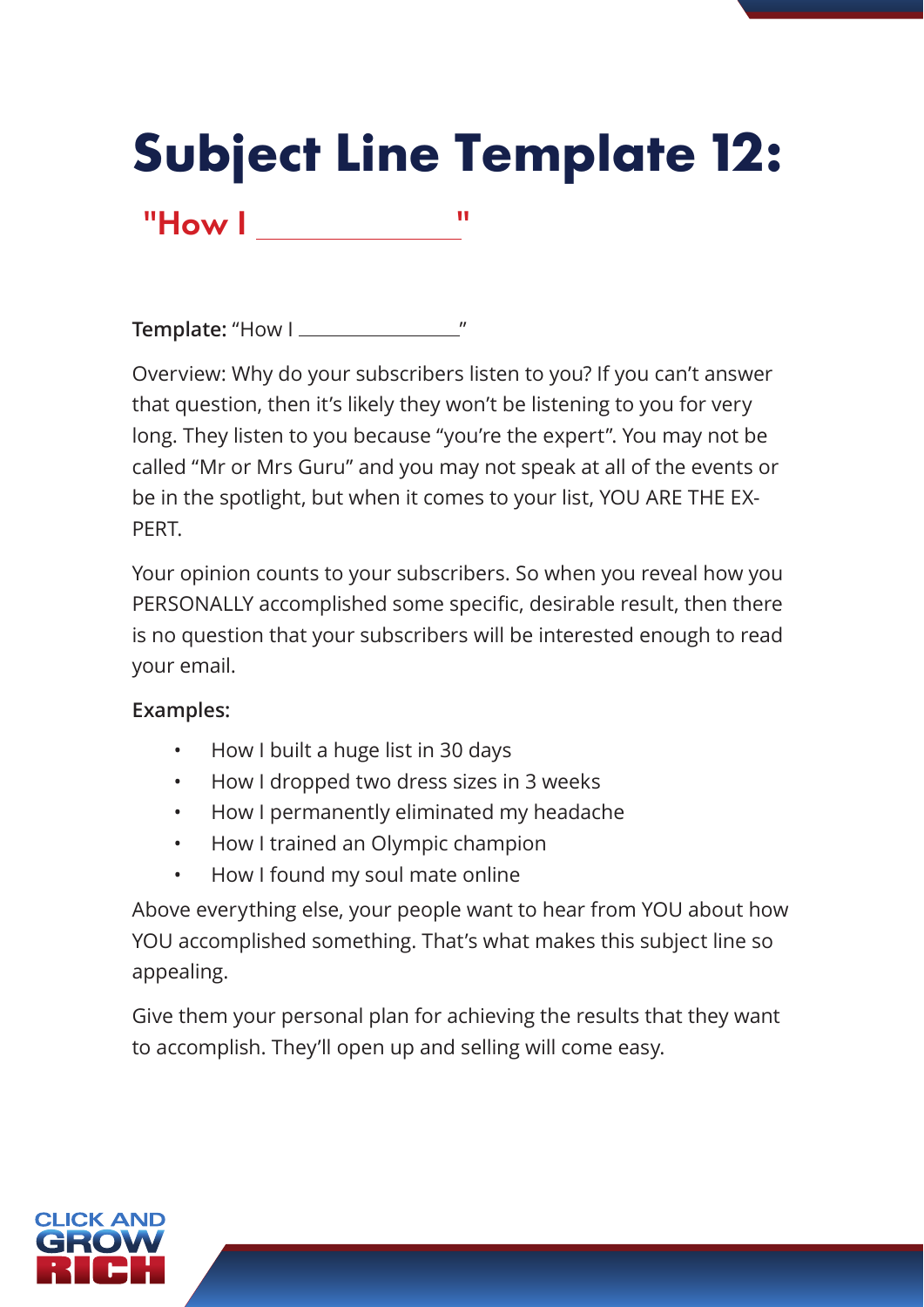# **Subject Line Template 12:**

**Template:** "How I "

"How I "

Overview: Why do your subscribers listen to you? If you can't answer that question, then it's likely they won't be listening to you for very long. They listen to you because "you're the expert". You may not be called "Mr or Mrs Guru" and you may not speak at all of the events or be in the spotlight, but when it comes to your list, YOU ARE THE EX-PERT.

Your opinion counts to your subscribers. So when you reveal how you PERSONALLY accomplished some specific, desirable result, then there is no question that your subscribers will be interested enough to read your email.

#### **Examples:**

- How I built a huge list in 30 days
- How I dropped two dress sizes in 3 weeks
- How I permanently eliminated my headache
- How I trained an Olympic champion
- How I found my soul mate online

Above everything else, your people want to hear from YOU about how YOU accomplished something. That's what makes this subject line so appealing.

Give them your personal plan for achieving the results that they want to accomplish. They'll open up and selling will come easy.

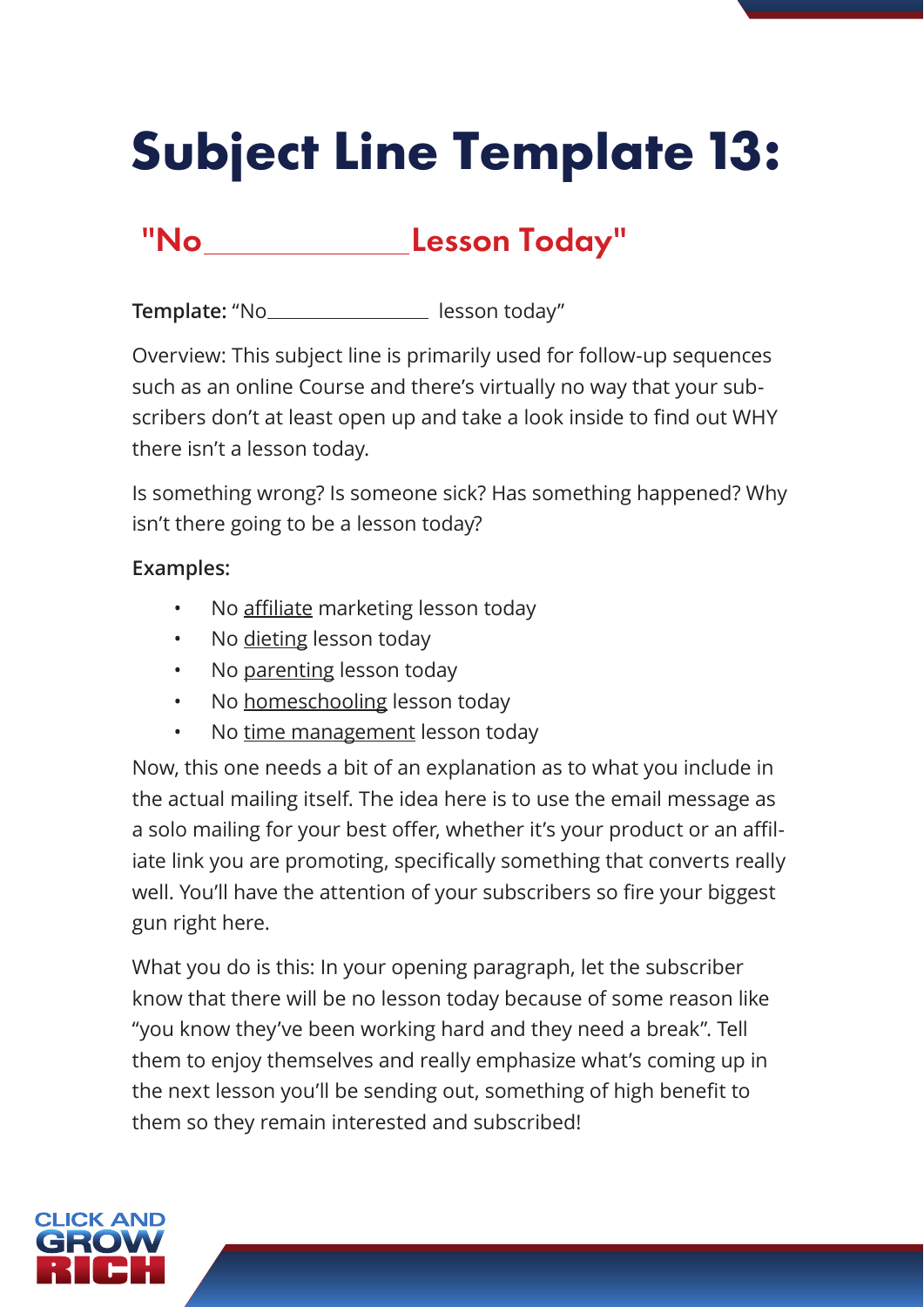# **Subject Line Template 13:**

### "No **Lesson Today"**

Template: "No lesson today"

Overview: This subject line is primarily used for follow-up sequences such as an online Course and there's virtually no way that your subscribers don't at least open up and take a look inside to find out WHY there isn't a lesson today.

Is something wrong? Is someone sick? Has something happened? Why isn't there going to be a lesson today?

#### **Examples:**

- No affiliate marketing lesson today
- No dieting lesson today
- No parenting lesson today
- No homeschooling lesson today
- No time management lesson today

Now, this one needs a bit of an explanation as to what you include in the actual mailing itself. The idea here is to use the email message as a solo mailing for your best offer, whether it's your product or an affiliate link you are promoting, specifically something that converts really well. You'll have the attention of your subscribers so fire your biggest gun right here.

What you do is this: In your opening paragraph, let the subscriber know that there will be no lesson today because of some reason like "you know they've been working hard and they need a break". Tell them to enjoy themselves and really emphasize what's coming up in the next lesson you'll be sending out, something of high benefit to them so they remain interested and subscribed!

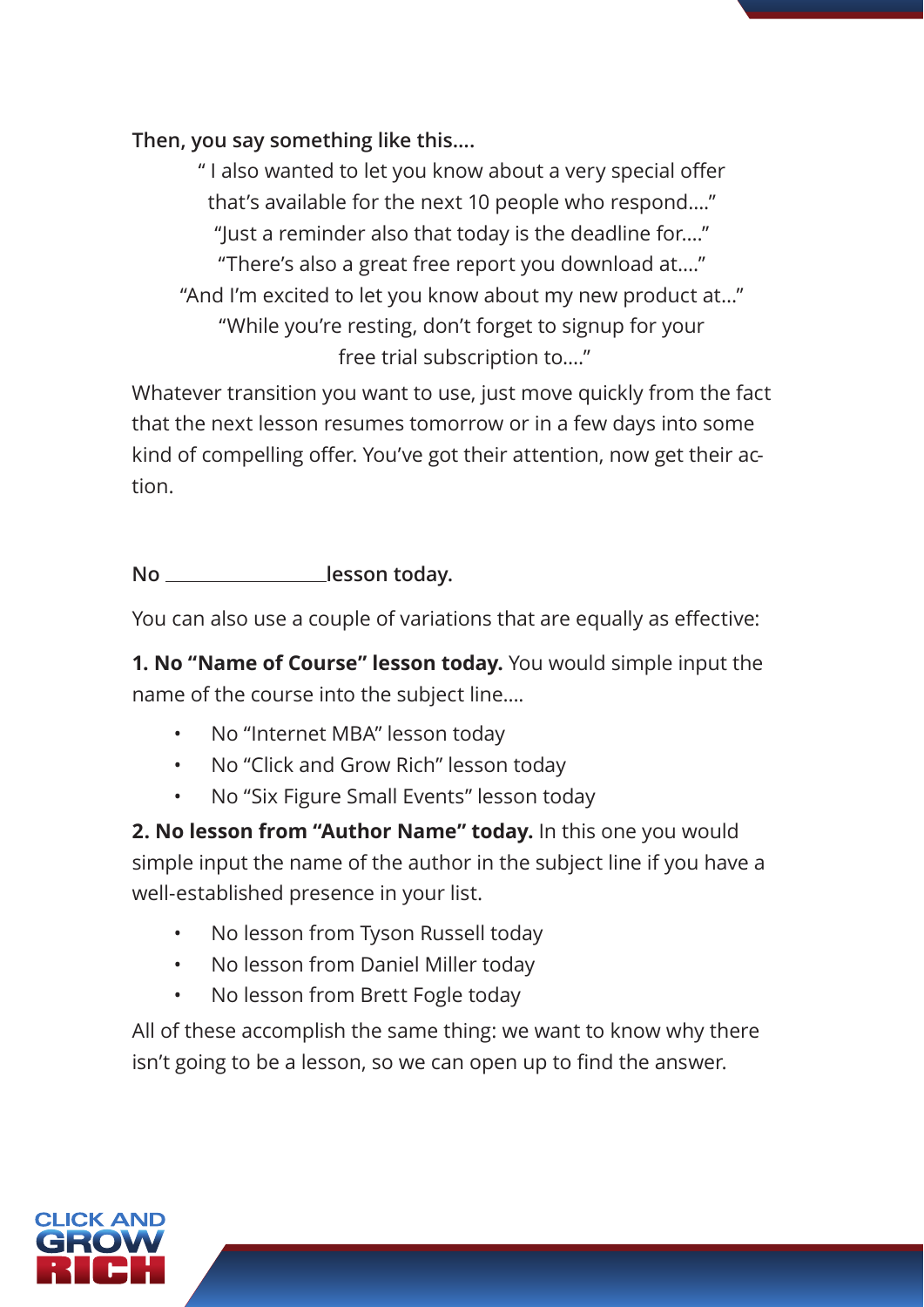#### **Then, you say something like this….**

" I also wanted to let you know about a very special offer that's available for the next 10 people who respond…." "Just a reminder also that today is the deadline for…." "There's also a great free report you download at…." "And I'm excited to let you know about my new product at…" "While you're resting, don't forget to signup for your free trial subscription to…."

Whatever transition you want to use, just move quickly from the fact that the next lesson resumes tomorrow or in a few days into some kind of compelling offer. You've got their attention, now get their action.

No \_\_\_\_\_\_\_\_\_\_\_\_\_\_\_\_\_\_lesson today.

You can also use a couple of variations that are equally as effective:

**1. No "Name of Course" lesson today.** You would simple input the name of the course into the subject line….

- No "Internet MBA" lesson today
- No "Click and Grow Rich" lesson today
- No "Six Figure Small Events" lesson today

**2. No lesson from "Author Name" today.** In this one you would simple input the name of the author in the subject line if you have a well-established presence in your list.

- No lesson from Tyson Russell today
- No lesson from Daniel Miller today
- No lesson from Brett Fogle today

All of these accomplish the same thing: we want to know why there isn't going to be a lesson, so we can open up to find the answer.

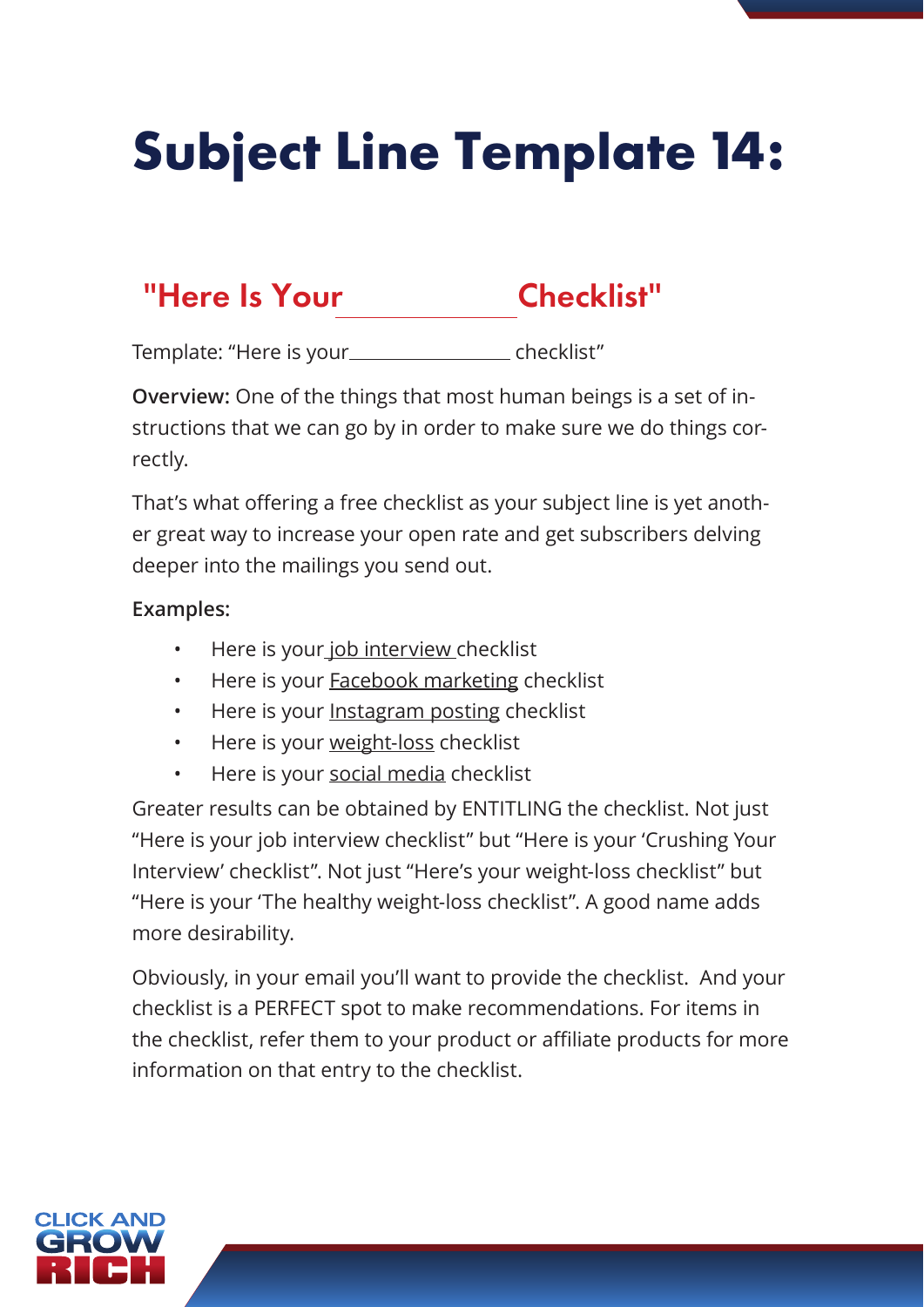# **Subject Line Template 14:**

### "Here Is Your Checklist"

Template: "Here is your\_\_\_\_\_\_\_\_\_\_\_\_\_\_\_\_\_\_\_ checklist"

**Overview:** One of the things that most human beings is a set of instructions that we can go by in order to make sure we do things correctly.

That's what offering a free checklist as your subject line is yet another great way to increase your open rate and get subscribers delving deeper into the mailings you send out.

#### **Examples:**

- Here is your job interview checklist
- Here is your **Facebook marketing checklist**
- Here is your Instagram posting checklist
- Here is your weight-loss checklist
- Here is your social media checklist

Greater results can be obtained by ENTITLING the checklist. Not just "Here is your job interview checklist" but "Here is your 'Crushing Your Interview' checklist". Not just "Here's your weight-loss checklist" but "Here is your 'The healthy weight-loss checklist". A good name adds more desirability.

Obviously, in your email you'll want to provide the checklist. And your checklist is a PERFECT spot to make recommendations. For items in the checklist, refer them to your product or affiliate products for more information on that entry to the checklist.

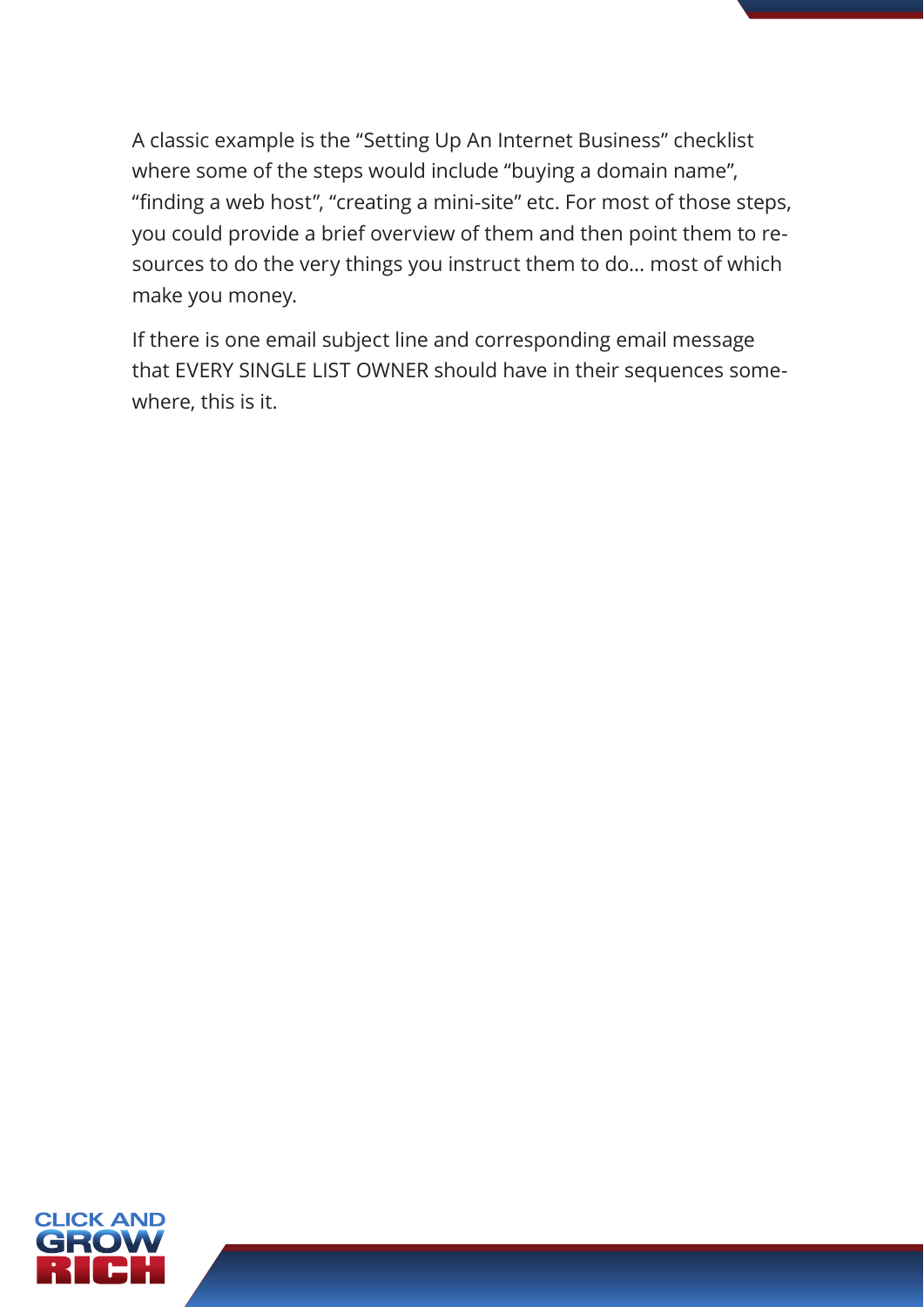A classic example is the "Setting Up An Internet Business" checklist where some of the steps would include "buying a domain name", "finding a web host", "creating a mini-site" etc. For most of those steps, you could provide a brief overview of them and then point them to resources to do the very things you instruct them to do… most of which make you money.

If there is one email subject line and corresponding email message that EVERY SINGLE LIST OWNER should have in their sequences somewhere, this is it.

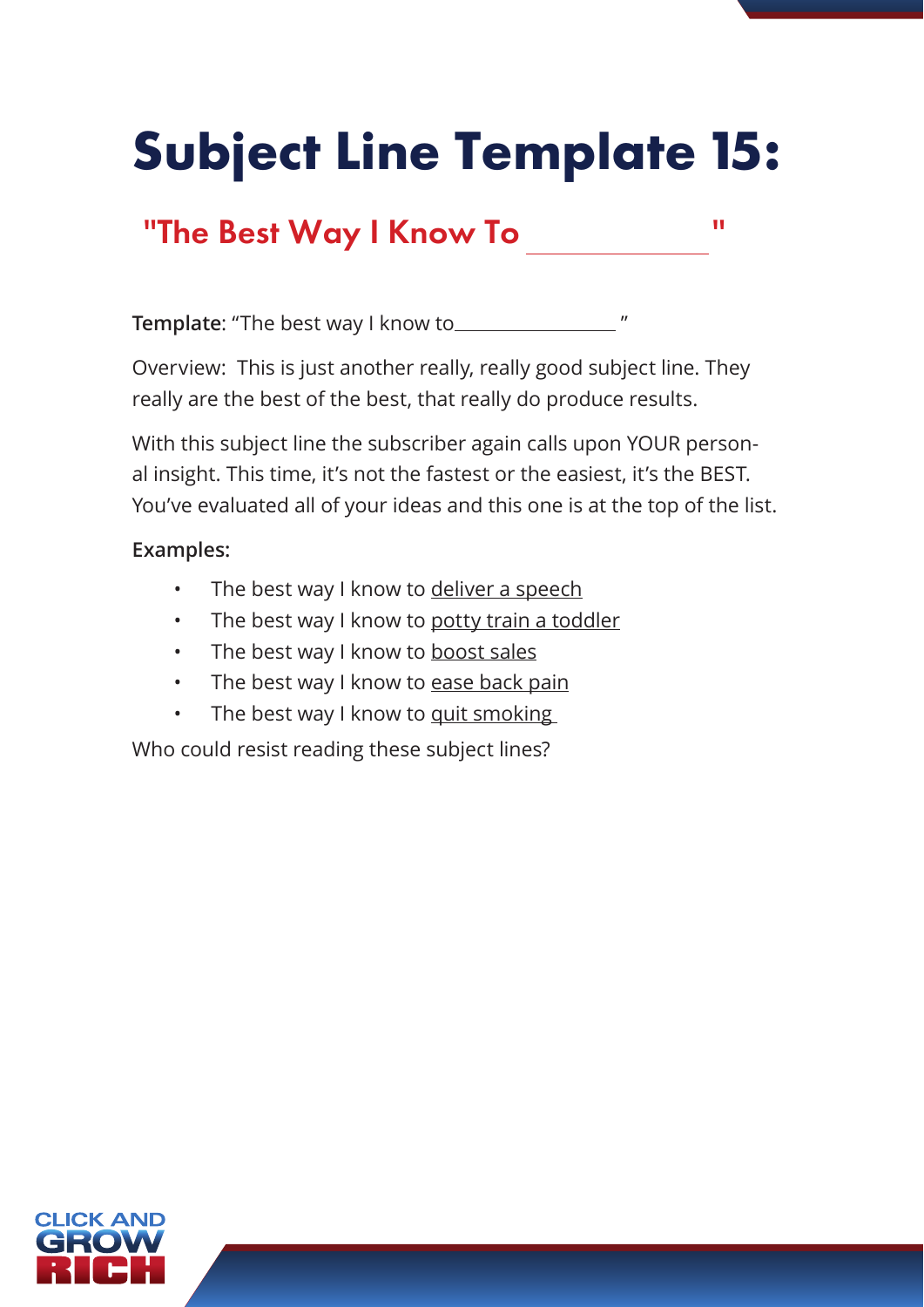# **Subject Line Template 15:**

### "The Best Way I Know To "

**Template**: "The best way I know to "

Overview: This is just another really, really good subject line. They really are the best of the best, that really do produce results.

With this subject line the subscriber again calls upon YOUR personal insight. This time, it's not the fastest or the easiest, it's the BEST. You've evaluated all of your ideas and this one is at the top of the list.

#### **Examples:**

- The best way I know to deliver a speech
- The best way I know to potty train a toddler
- The best way I know to boost sales
- The best way I know to ease back pain
- The best way I know to quit smoking

Who could resist reading these subject lines?

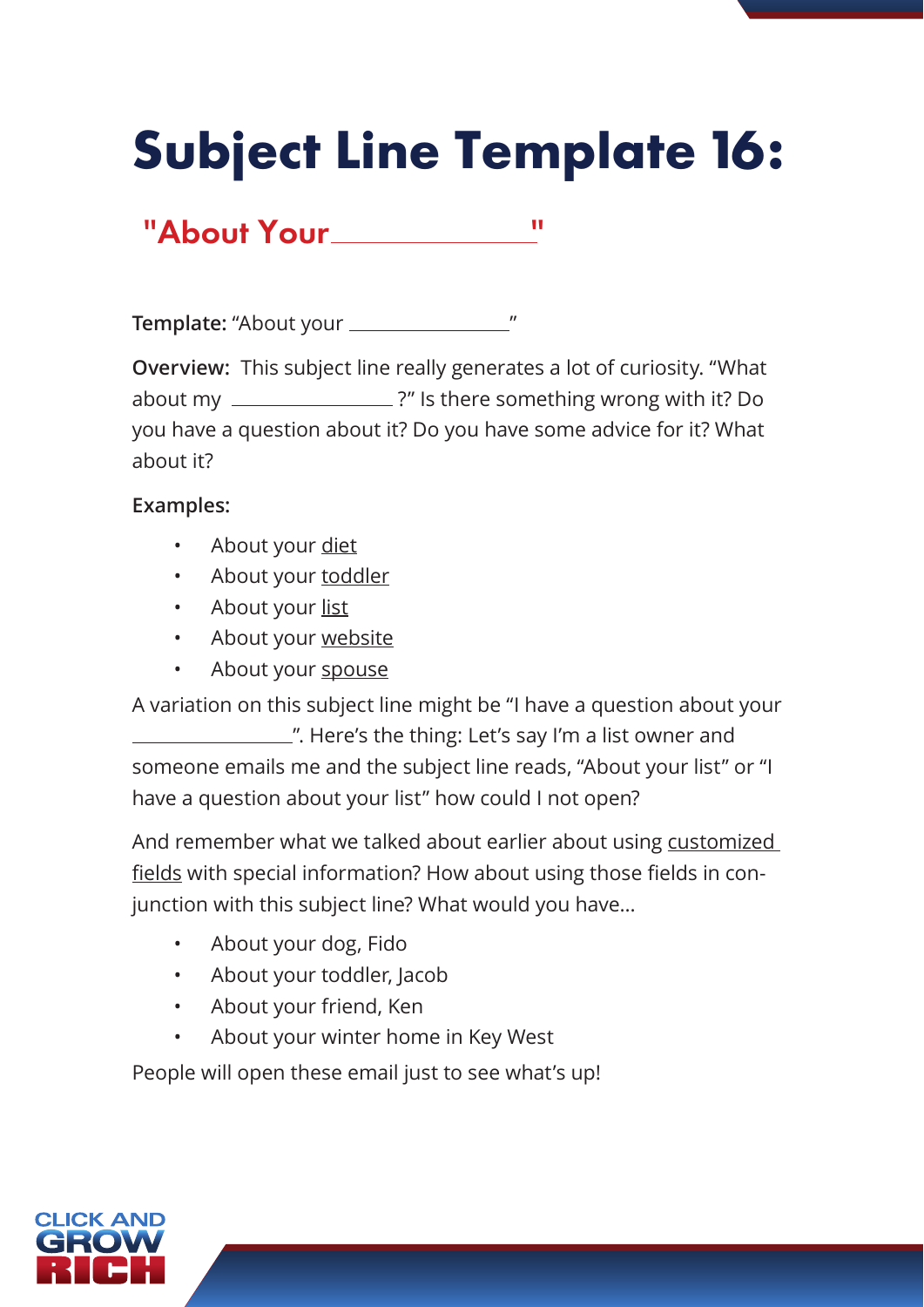# **Subject Line Template 16:**

"About Your "

**Template:** "About your "

**Overview:** This subject line really generates a lot of curiosity. "What about my \_\_\_\_\_\_\_\_\_\_\_\_\_\_\_\_?" Is there something wrong with it? Do you have a question about it? Do you have some advice for it? What about it?

#### **Examples:**

- About your diet
- About your toddler
- About your list
- About your website
- About your spouse

A variation on this subject line might be "I have a question about your ". Here's the thing: Let's say I'm a list owner and someone emails me and the subject line reads, "About your list" or "I have a question about your list" how could I not open?

And remember what we talked about earlier about using customized fields with special information? How about using those fields in conjunction with this subject line? What would you have…

- About your dog, Fido
- About your toddler, Jacob
- About your friend, Ken
- About your winter home in Key West

People will open these email just to see what's up!

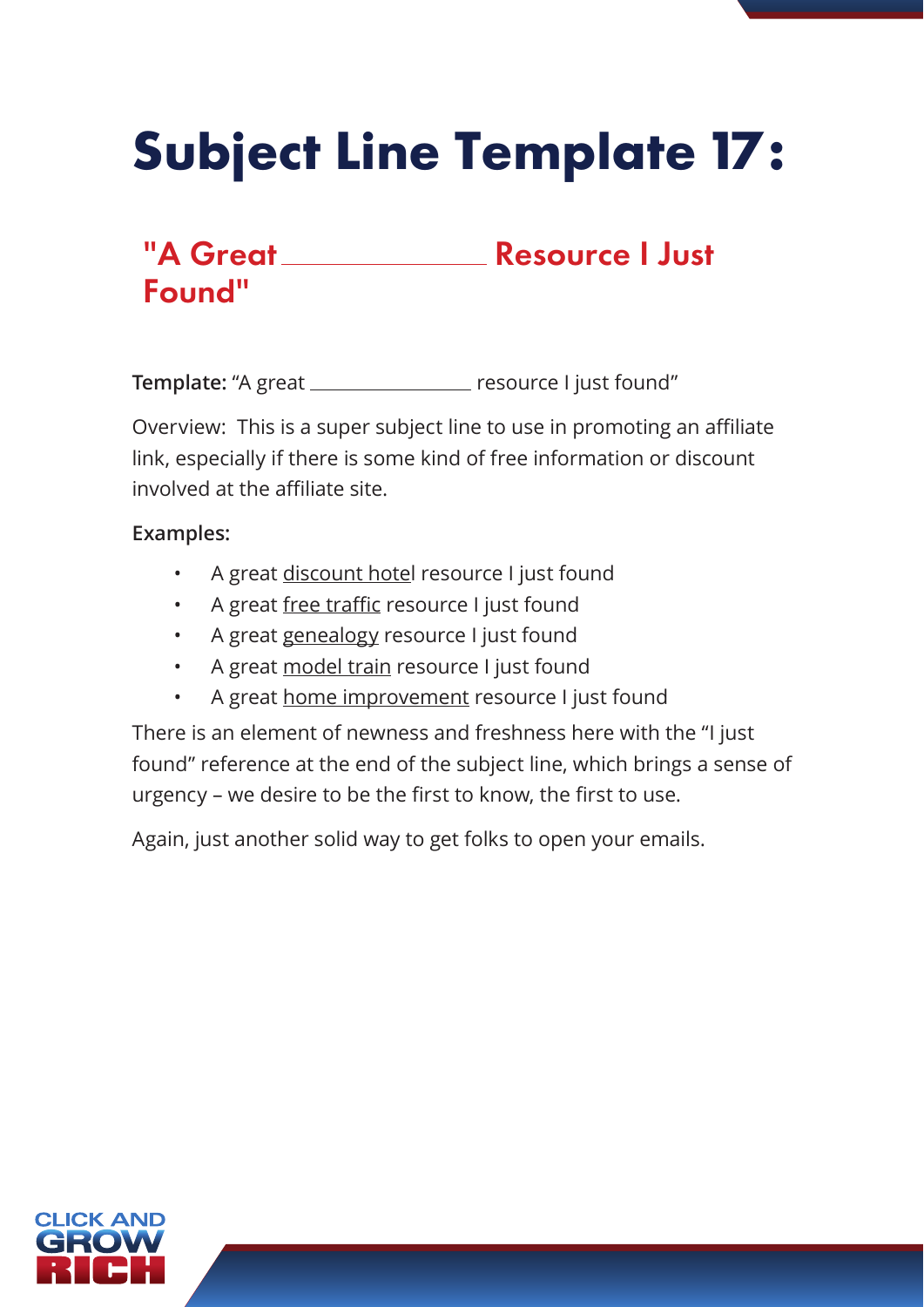# **Subject Line Template 17:**

# Found"

### "A Great Resource I Just

**Template:** "A great \_\_\_\_\_\_\_\_\_\_\_\_\_\_\_\_ resource I just found"

Overview: This is a super subject line to use in promoting an affiliate link, especially if there is some kind of free information or discount involved at the affiliate site.

#### **Examples:**

- A great discount hotel resource I just found
- A great free traffic resource I just found
- A great genealogy resource I just found
- A great model train resource I just found
- A great home improvement resource I just found

There is an element of newness and freshness here with the "I just found" reference at the end of the subject line, which brings a sense of urgency – we desire to be the first to know, the first to use.

Again, just another solid way to get folks to open your emails.

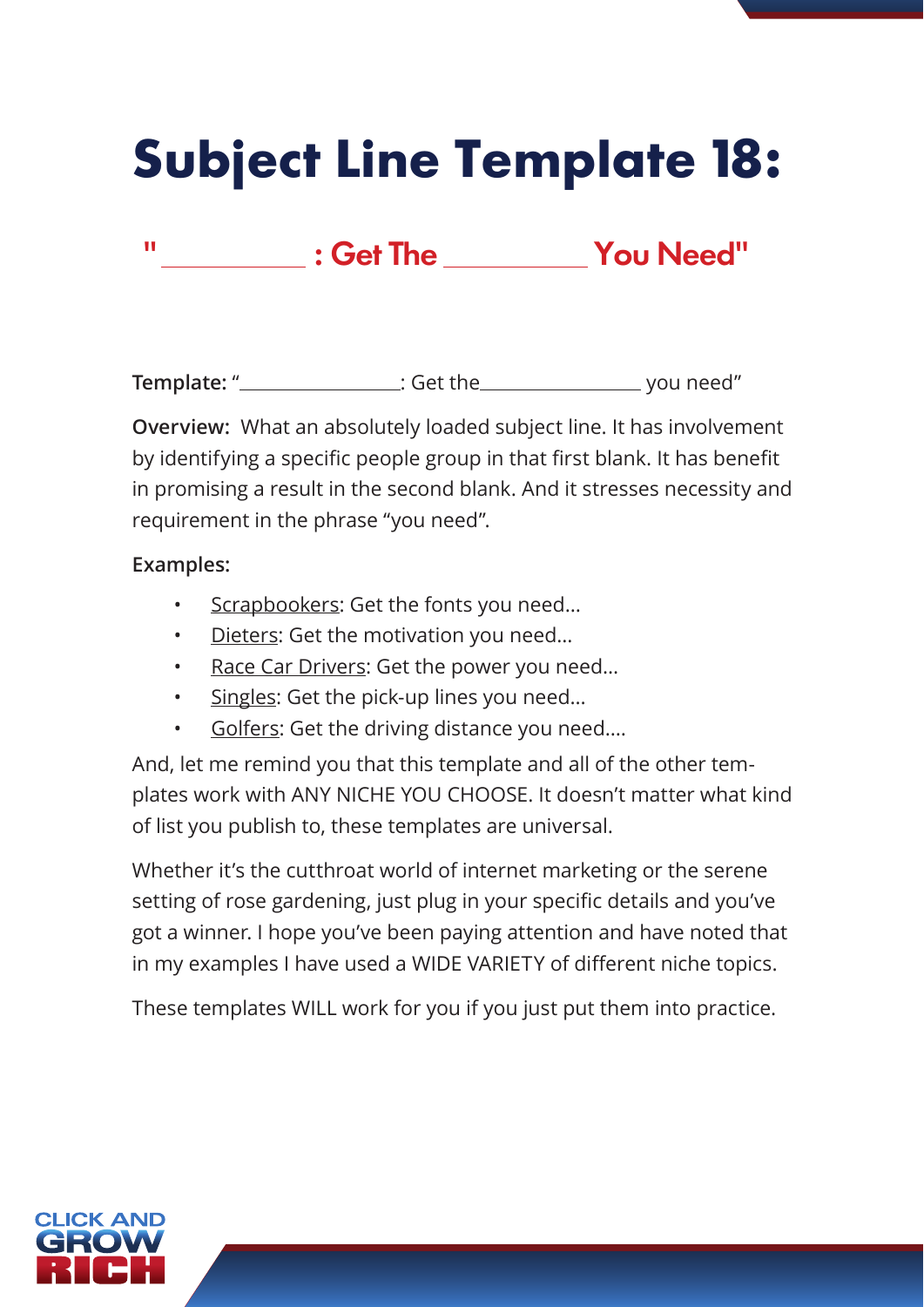### **Subject Line Template 18:**

" : Get The You Need"

**Template:** " : Get the you need"

**Overview:** What an absolutely loaded subject line. It has involvement by identifying a specific people group in that first blank. It has benefit in promising a result in the second blank. And it stresses necessity and requirement in the phrase "you need".

#### **Examples:**

- Scrapbookers: Get the fonts you need…
- Dieters: Get the motivation you need…
- Race Car Drivers: Get the power you need...
- Singles: Get the pick-up lines you need...
- Golfers: Get the driving distance you need….

And, let me remind you that this template and all of the other templates work with ANY NICHE YOU CHOOSE. It doesn't matter what kind of list you publish to, these templates are universal.

Whether it's the cutthroat world of internet marketing or the serene setting of rose gardening, just plug in your specific details and you've got a winner. I hope you've been paying attention and have noted that in my examples I have used a WIDE VARIETY of different niche topics.

These templates WILL work for you if you just put them into practice.

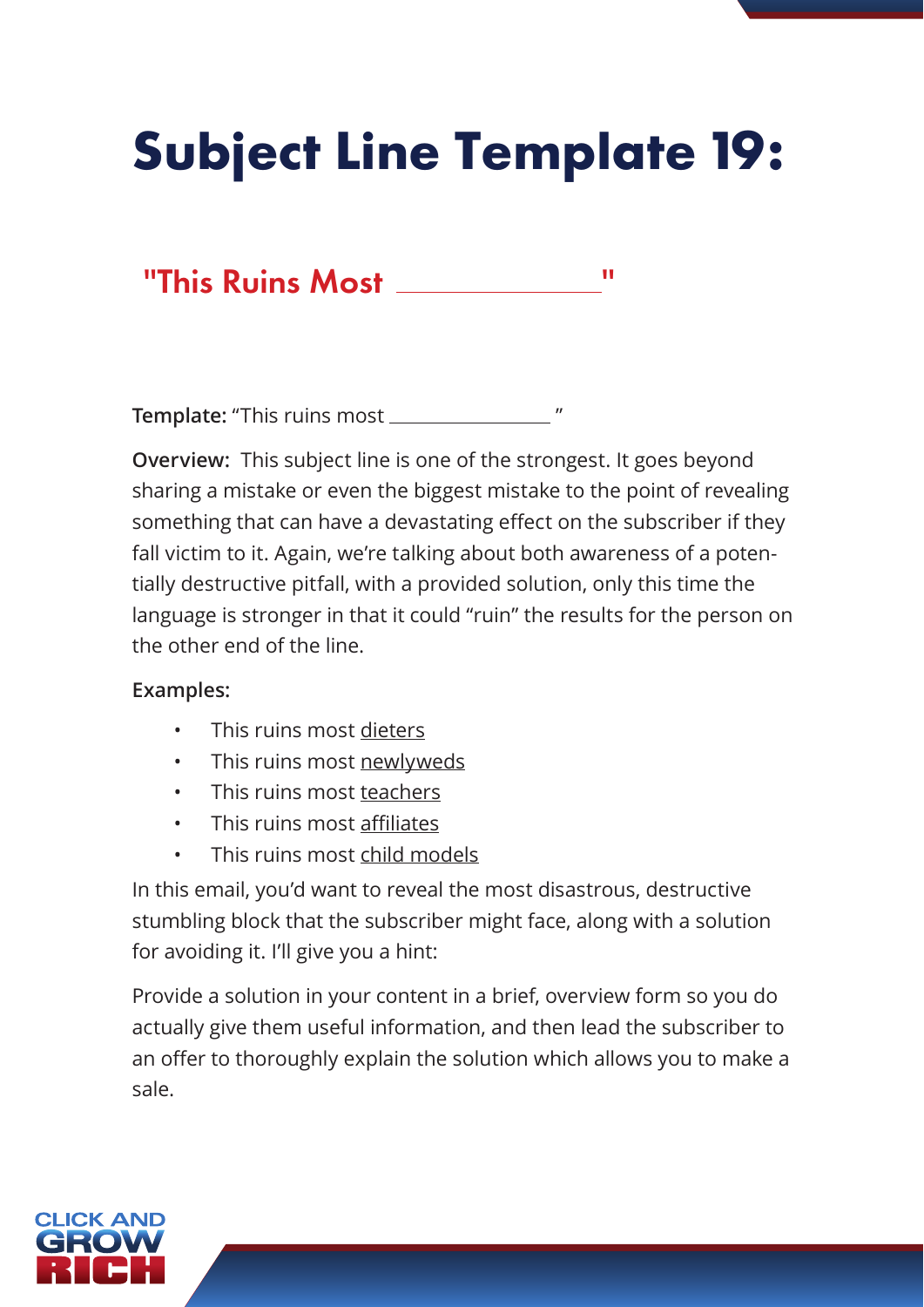# **Subject Line Template 19:**

### "This Ruins Most \_\_\_\_\_\_\_\_\_\_\_\_\_\_\_\_"

**Template:** "This ruins most "

**Overview:** This subject line is one of the strongest. It goes beyond sharing a mistake or even the biggest mistake to the point of revealing something that can have a devastating effect on the subscriber if they fall victim to it. Again, we're talking about both awareness of a potentially destructive pitfall, with a provided solution, only this time the language is stronger in that it could "ruin" the results for the person on the other end of the line.

#### **Examples:**

- This ruins most dieters
- This ruins most newlyweds
- This ruins most teachers
- This ruins most affiliates
- This ruins most child models

In this email, you'd want to reveal the most disastrous, destructive stumbling block that the subscriber might face, along with a solution for avoiding it. I'll give you a hint:

Provide a solution in your content in a brief, overview form so you do actually give them useful information, and then lead the subscriber to an offer to thoroughly explain the solution which allows you to make a sale.

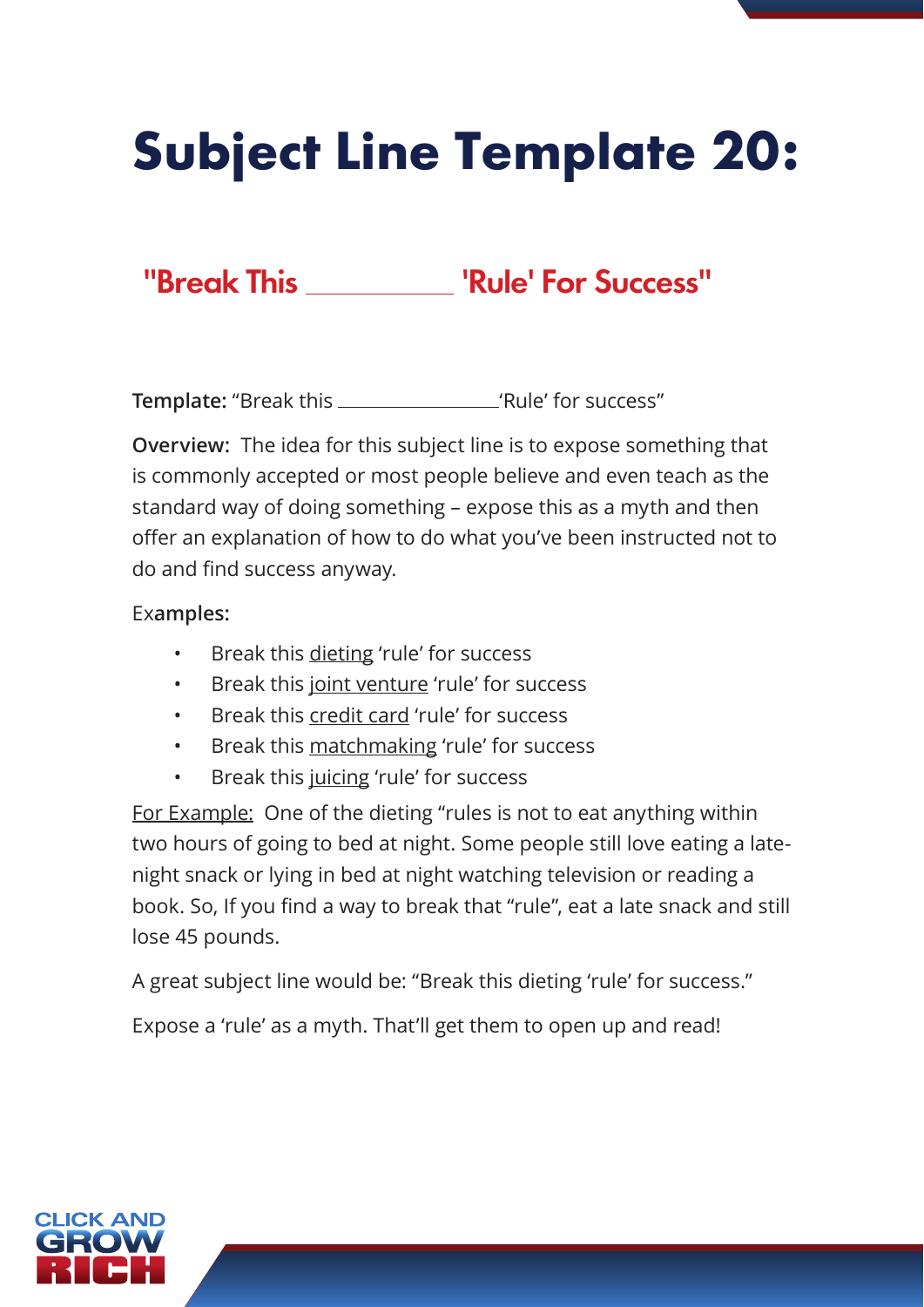# **Subject Line Template 20:**

### "Break This \_\_\_\_\_\_\_\_ 'Rule' For Success"

**Template:** "Break this 'Rule' for success"

**Overview:** The idea for this subject line is to expose something that is commonly accepted or most people believe and even teach as the standard way of doing something – expose this as a myth and then offer an explanation of how to do what you've been instructed not to do and find success anyway.

#### Ex**amples:**

- Break this dieting 'rule' for success
- Break this joint venture 'rule' for success
- Break this credit card 'rule' for success
- Break this matchmaking 'rule' for success
- Break this juicing 'rule' for success

For Example: One of the dieting "rules is not to eat anything within two hours of going to bed at night. Some people still love eating a latenight snack or lying in bed at night watching television or reading a book. So, If you find a way to break that "rule", eat a late snack and still lose 45 pounds.

A great subject line would be: "Break this dieting 'rule' for success."

Expose a 'rule' as a myth. That'll get them to open up and read!